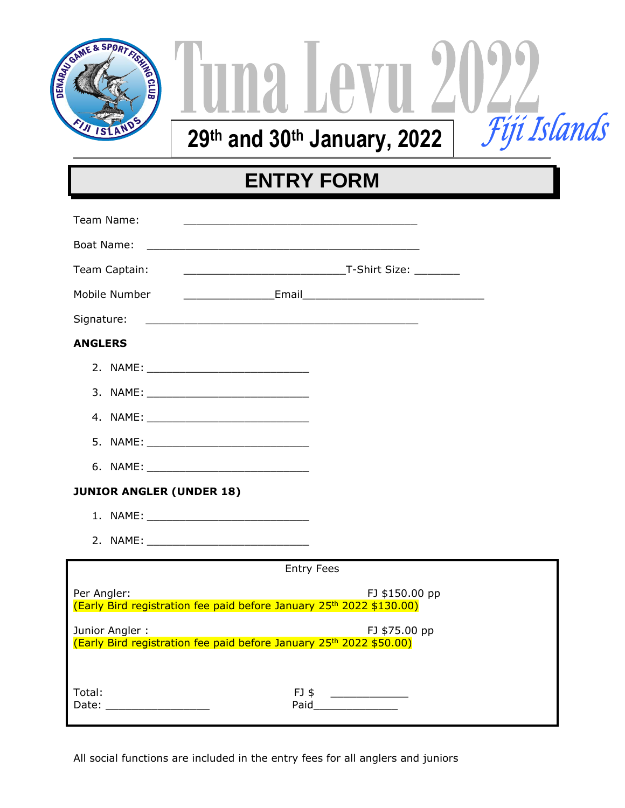



## **ENTRY FORM**

| Team Name:                                                                                                        |                                                                                                                       |                                                                                                                                                                                                                                |  |  |
|-------------------------------------------------------------------------------------------------------------------|-----------------------------------------------------------------------------------------------------------------------|--------------------------------------------------------------------------------------------------------------------------------------------------------------------------------------------------------------------------------|--|--|
| Boat Name:                                                                                                        | <u> 1989 - Johann Harry Harry Harry Harry Harry Harry Harry Harry Harry Harry Harry Harry Harry Harry Harry Harry</u> |                                                                                                                                                                                                                                |  |  |
| Team Captain:                                                                                                     |                                                                                                                       |                                                                                                                                                                                                                                |  |  |
| Mobile Number                                                                                                     |                                                                                                                       |                                                                                                                                                                                                                                |  |  |
| Signature:                                                                                                        | <u> 2000 - Jan James James Jan James James James James James James James James James James James James James Jam</u>  |                                                                                                                                                                                                                                |  |  |
| <b>ANGLERS</b>                                                                                                    |                                                                                                                       |                                                                                                                                                                                                                                |  |  |
|                                                                                                                   |                                                                                                                       |                                                                                                                                                                                                                                |  |  |
|                                                                                                                   |                                                                                                                       |                                                                                                                                                                                                                                |  |  |
|                                                                                                                   |                                                                                                                       |                                                                                                                                                                                                                                |  |  |
|                                                                                                                   |                                                                                                                       |                                                                                                                                                                                                                                |  |  |
|                                                                                                                   |                                                                                                                       |                                                                                                                                                                                                                                |  |  |
| <b>JUNIOR ANGLER (UNDER 18)</b>                                                                                   |                                                                                                                       |                                                                                                                                                                                                                                |  |  |
|                                                                                                                   |                                                                                                                       |                                                                                                                                                                                                                                |  |  |
|                                                                                                                   |                                                                                                                       |                                                                                                                                                                                                                                |  |  |
| <b>Entry Fees</b>                                                                                                 |                                                                                                                       |                                                                                                                                                                                                                                |  |  |
| Per Angler:<br>FJ \$150.00 pp<br>(Early Bird registration fee paid before January 25 <sup>th</sup> 2022 \$130.00) |                                                                                                                       |                                                                                                                                                                                                                                |  |  |
|                                                                                                                   |                                                                                                                       |                                                                                                                                                                                                                                |  |  |
| Junior Angler:<br>FJ \$75.00 pp<br>(Early Bird registration fee paid before January 25th 2022 \$50.00)            |                                                                                                                       |                                                                                                                                                                                                                                |  |  |
|                                                                                                                   |                                                                                                                       |                                                                                                                                                                                                                                |  |  |
| Total:                                                                                                            | FJ \$                                                                                                                 |                                                                                                                                                                                                                                |  |  |
|                                                                                                                   |                                                                                                                       | Paid and the contract of the contract of the contract of the contract of the contract of the contract of the contract of the contract of the contract of the contract of the contract of the contract of the contract of the c |  |  |

All social functions are included in the entry fees for all anglers and juniors